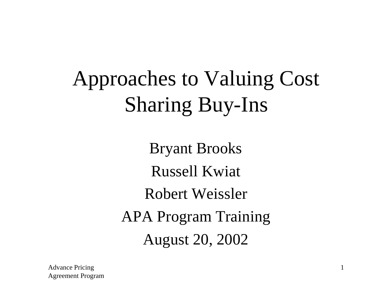# Approaches to Valuing Cost Sharing Buy-Ins

Bryant Brooks Russell Kwiat Robert Weissler APA Program Training August 20, 2002

Advance Pricing Agreement Program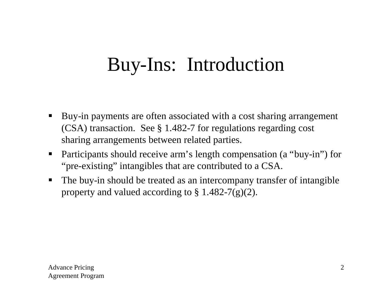# Buy-Ins: Introduction

- Buy-in payments are often associated with a cost sharing arrangement (CSA) transaction. See § 1.482-7 for regulations regarding cost sharing arrangements between related parties.
- Participants should receive arm's length compensation (a "buy-in") for "pre-existing" intangibles that are contributed to a CSA.
- The buy-in should be treated as an intercompany transfer of intangible property and valued according to  $\S 1.482-7(g)(2)$ .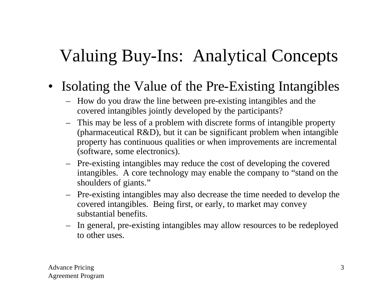- Isolating the Value of the Pre-Existing Intangibles
	- How do you draw the line between pre-existing intangibles and the covered intangibles jointly developed by the participants?
	- This may be less of a problem with discrete forms of intangible property (pharmaceutical R&D), but it can be significant problem when intangible property has continuous qualities or when improvements are incremental (software, some electronics).
	- Pre-existing intangibles may reduce the cost of developing the covered intangibles. A core technology may enable the company to "stand on the shoulders of giants."
	- Pre-existing intangibles may also decrease the time needed to develop the covered intangibles. Being first, or early, to market may convey substantial benefits.
	- In general, pre-existing intangibles may allow resources to be redeployed to other uses.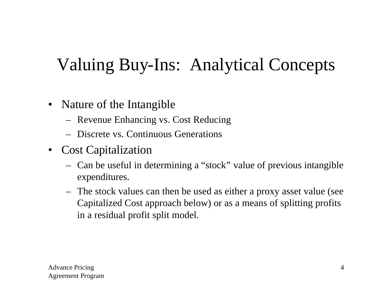- Nature of the Intangible
	- Revenue Enhancing vs. Cost Reducing
	- Discrete vs. Continuous Generations
- Cost Capitalization
	- Can be useful in determining a "stock" value of previous intangible expenditures.
	- The stock values can then be used as either a proxy asset value (see Capitalized Cost approach below) or as a means of splitting profits in a residual profit split model.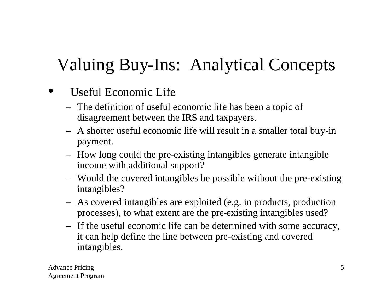- Useful Economic Life
	- The definition of useful economic life has been a topic of disagreement between the IRS and taxpayers.
	- A shorter useful economic life will result in a smaller total buy-in payment.
	- How long could the pre-existing intangibles generate intangible income with additional support?
	- Would the covered intangibles be possible without the pre-existing intangibles?
	- As covered intangibles are exploited (e.g. in products, production processes), to what extent are the pre-existing intangibles used?
	- If the useful economic life can be determined with some accuracy, it can help define the line between pre-existing and covered intangibles.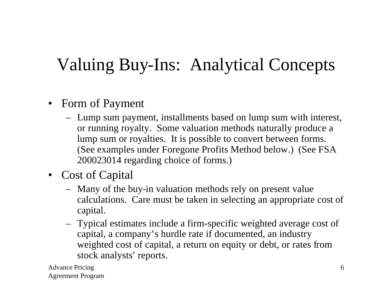- Form of Payment
	- Lump sum payment, installments based on lump sum with interest, or running royalty. Some valuation methods naturally produce a lump sum or royalties. It is possible to convert between forms. (See examples under Foregone Profits Method below.) (See FSA 200023014 regarding choice of forms.)
- Cost of Capital
	- Many of the buy-in valuation methods rely on present value calculations. Care must be taken in selecting an appropriate cost of capital.
	- Typical estimates include a firm-specific weighted average cost of capital, a company's hurdle rate if documented, an industry weighted cost of capital, a return on equity or debt, or rates from stock analysts' reports.

Advance Pricing Agreement Program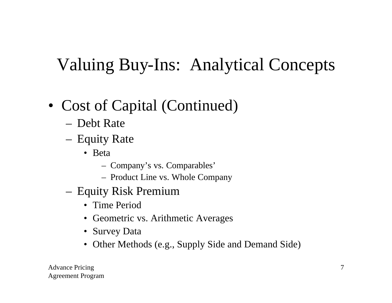- Cost of Capital (Continued)
	- Debt Rate
	- Equity Rate
		- Beta
			- Company's vs. Comparables'
			- Product Line vs. Whole Company
	- Equity Risk Premium
		- Time Period
		- Geometric vs. Arithmetic Averages
		- Survey Data
		- Other Methods (e.g., Supply Side and Demand Side)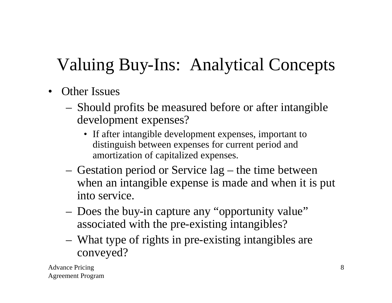- Other Issues
	- Should profits be measured before or after intangible development expenses?
		- If after intangible development expenses, important to distinguish between expenses for current period and amortization of capitalized expenses.
	- Gestation period or Service lag the time between when an intangible expense is made and when it is put into service.
	- Does the buy-in capture any "opportunity value" associated with the pre-existing intangibles?
	- What type of rights in pre-existing intangibles are conveyed?

Advance Pricing Agreement Program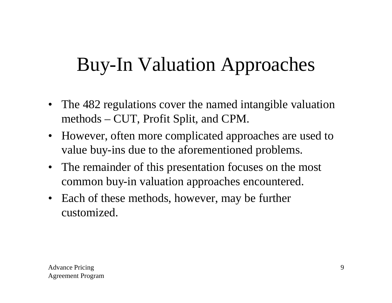# Buy-In Valuation Approaches

- The 482 regulations cover the named intangible valuation methods – CUT, Profit Split, and CPM.
- However, often more complicated approaches are used to value buy-ins due to the aforementioned problems.
- The remainder of this presentation focuses on the most common buy-in valuation approaches encountered.
- Each of these methods, however, may be further customized.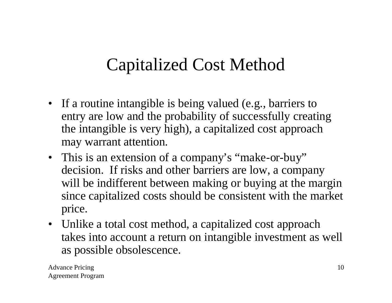#### Capitalized Cost Method

- If a routine intangible is being valued (e.g., barriers to entry are low and the probability of successfully creating the intangible is very high), a capitalized cost approach may warrant attention.
- This is an extension of a company's "make-or-buy" decision. If risks and other barriers are low, a company will be indifferent between making or buying at the margin since capitalized costs should be consistent with the market price.
- Unlike a total cost method, a capitalized cost approach takes into account a return on intangible investment as well as possible obsolescence.

Advance Pricing Agreement Program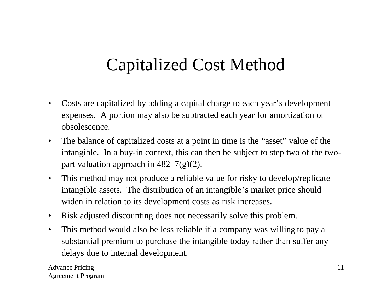#### Capitalized Cost Method

- Costs are capitalized by adding a capital charge to each year's development expenses. A portion may also be subtracted each year for amortization or obsolescence.
- The balance of capitalized costs at a point in time is the "asset" value of the intangible. In a buy-in context, this can then be subject to step two of the twopart valuation approach in  $482-7(g)(2)$ .
- This method may not produce a reliable value for risky to develop/replicate intangible assets. The distribution of an intangible's market price should widen in relation to its development costs as risk increases.
- Risk adjusted discounting does not necessarily solve this problem.
- This method would also be less reliable if a company was willing to pay a substantial premium to purchase the intangible today rather than suffer any delays due to internal development.

Advance Pricing Agreement Program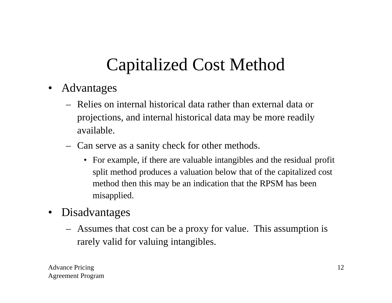# Capitalized Cost Method

- Advantages
	- Relies on internal historical data rather than external data or projections, and internal historical data may be more readily available.
	- Can serve as a sanity check for other methods.
		- For example, if there are valuable intangibles and the residual profit split method produces a valuation below that of the capitalized cost method then this may be an indication that the RPSM has been misapplied.
- Disadvantages
	- Assumes that cost can be a proxy for value. This assumption is rarely valid for valuing intangibles.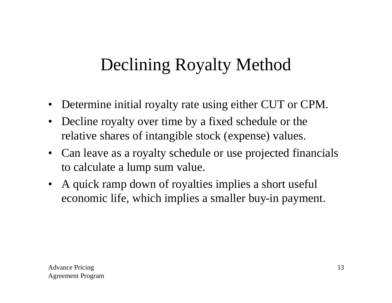## Declining Royalty Method

- Determine initial royalty rate using either CUT or CPM.
- Decline royalty over time by a fixed schedule or the relative shares of intangible stock (expense) values.
- Can leave as a royalty schedule or use projected financials to calculate a lump sum value.
- A quick ramp down of royalties implies a short useful economic life, which implies a smaller buy-in payment.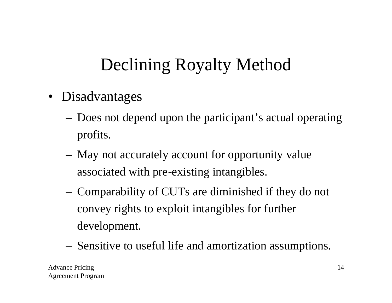# Declining Royalty Method

- Disadvantages
	- Does not depend upon the participant's actual operating profits.
	- May not accurately account for opportunity value associated with pre-existing intangibles.
	- Comparability of CUTs are diminished if they do not convey rights to exploit intangibles for further development.
	- Sensitive to useful life and amortization assumptions.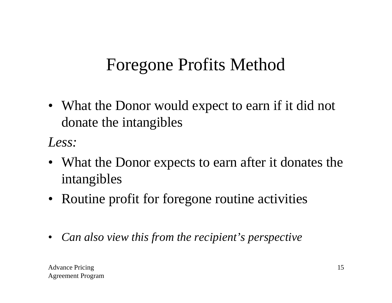• What the Donor would expect to earn if it did not donate the intangibles

*Less:*

- What the Donor expects to earn after it donates the intangibles
- Routine profit for foregone routine activities
- *Can also view this from the recipient's perspective*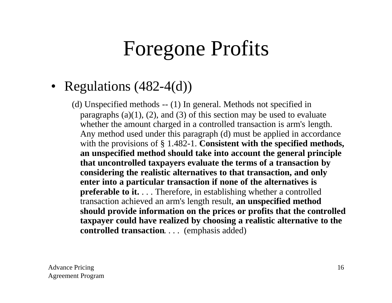# Foregone Profits

#### • Regulations (482-4(d))

(d) Unspecified methods -- (1) In general. Methods not specified in paragraphs  $(a)(1)$ ,  $(2)$ , and  $(3)$  of this section may be used to evaluate whether the amount charged in a controlled transaction is arm's length. Any method used under this paragraph (d) must be applied in accordance with the provisions of § 1.482-1. **Consistent with the specified methods, an unspecified method should take into account the general principle that uncontrolled taxpayers evaluate the terms of a transaction by considering the realistic alternatives to that transaction, and only enter into a particular transaction if none of the alternatives is preferable to it.** . . . Therefore, in establishing whether a controlled transaction achieved an arm's length result, **an unspecified method should provide information on the prices or profits that the controlled taxpayer could have realized by choosing a realistic alternative to the controlled transaction**. . . . (emphasis added)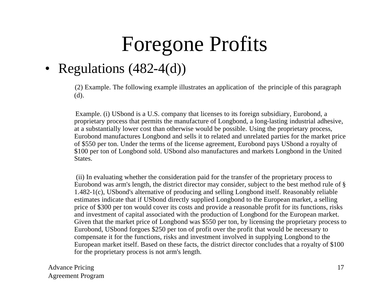# Foregone Profits

#### • Regulations (482-4(d))

(2) Example. The following example illustrates an application of the principle of this paragraph (d).

Example. (i) USbond is a U.S. company that licenses to its foreign subsidiary, Eurobond, a proprietary process that permits the manufacture of Longbond, a long-lasting industrial adhesive, at a substantially lower cost than otherwise would be possible. Using the proprietary process, Eurobond manufactures Longbond and sells it to related and unrelated parties for the market price of \$550 per ton. Under the terms of the license agreement, Eurobond pays USbond a royalty of \$100 per ton of Longbond sold. USbond also manufactures and markets Longbond in the United States.

(ii) In evaluating whether the consideration paid for the transfer of the proprietary process to Eurobond was arm's length, the district director may consider, subject to the best method rule of § 1.482-1(c), USbond's alternative of producing and selling Longbond itself. Reasonably reliable estimates indicate that if USbond directly supplied Longbond to the European market, a selling price of \$300 per ton would cover its costs and provide a reasonable profit for its functions, risks and investment of capital associated with the production of Longbond for the European market. Given that the market price of Longbond was \$550 per ton, by licensing the proprietary process to Eurobond, USbond forgoes \$250 per ton of profit over the profit that would be necessary to compensate it for the functions, risks and investment involved in supplying Longbond to the European market itself. Based on these facts, the district director concludes that a royalty of \$100 for the proprietary process is not arm's length.

Advance Pricing Agreement Program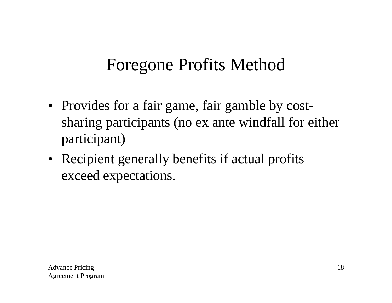- Provides for a fair game, fair gamble by costsharing participants (no ex ante windfall for either participant)
- Recipient generally benefits if actual profits exceed expectations.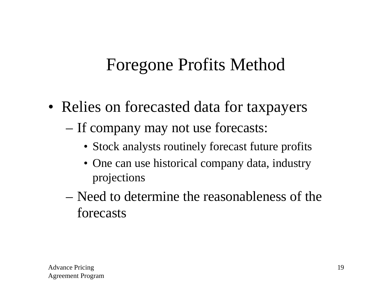- Relies on forecasted data for taxpayers
	- If company may not use forecasts:
		- Stock analysts routinely forecast future profits
		- One can use historical company data, industry projections
	- Need to determine the reasonableness of the forecasts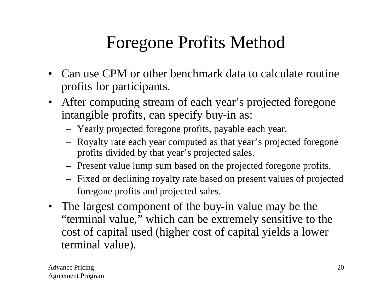- Can use CPM or other benchmark data to calculate routine profits for participants.
- After computing stream of each year's projected foregone intangible profits, can specify buy-in as:
	- Yearly projected foregone profits, payable each year.
	- Royalty rate each year computed as that year's projected foregone profits divided by that year's projected sales.
	- Present value lump sum based on the projected foregone profits.
	- Fixed or declining royalty rate based on present values of projected foregone profits and projected sales.
- The largest component of the buy-in value may be the "terminal value," which can be extremely sensitive to the cost of capital used (higher cost of capital yields a lower terminal value).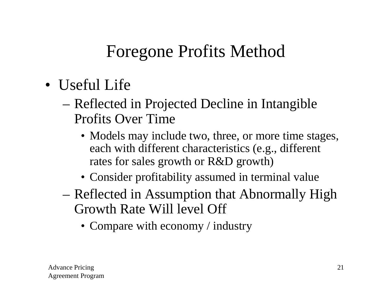- Useful Life
	- Reflected in Projected Decline in Intangible Profits Over Time
		- Models may include two, three, or more time stages, each with different characteristics (e.g., different rates for sales growth or R&D growth)
		- Consider profitability assumed in terminal value
	- Reflected in Assumption that Abnormally High Growth Rate Will level Off
		- Compare with economy / industry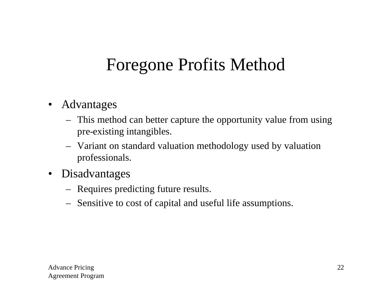- Advantages
	- This method can better capture the opportunity value from using pre-existing intangibles.
	- Variant on standard valuation methodology used by valuation professionals.
- Disadvantages
	- Requires predicting future results.
	- Sensitive to cost of capital and useful life assumptions.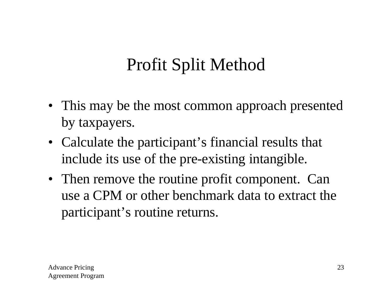# Profit Split Method

- This may be the most common approach presented by taxpayers.
- Calculate the participant's financial results that include its use of the pre-existing intangible.
- Then remove the routine profit component. Can use a CPM or other benchmark data to extract the participant's routine returns.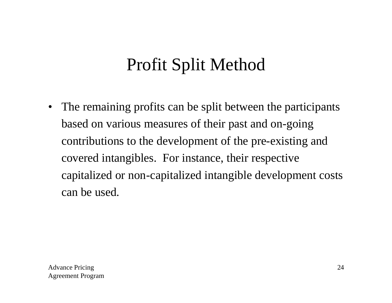#### Profit Split Method

• The remaining profits can be split between the participants based on various measures of their past and on-going contributions to the development of the pre-existing and covered intangibles. For instance, their respective capitalized or non-capitalized intangible development costs can be used.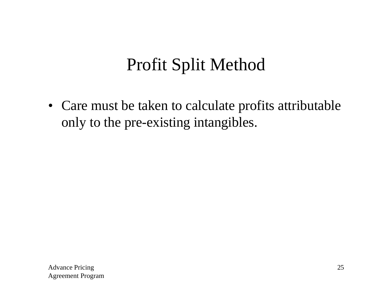#### Profit Split Method

• Care must be taken to calculate profits attributable only to the pre-existing intangibles.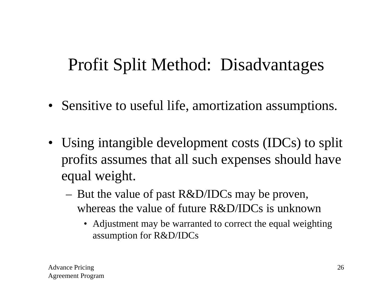#### Profit Split Method: Disadvantages

- Sensitive to useful life, amortization assumptions.
- Using intangible development costs (IDCs) to split profits assumes that all such expenses should have equal weight.
	- But the value of past R&D/IDCs may be proven, whereas the value of future R&D/IDCs is unknown
		- Adjustment may be warranted to correct the equal weighting assumption for R&D/IDCs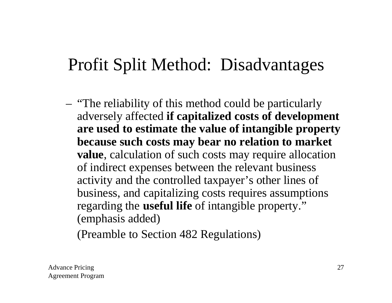#### Profit Split Method: Disadvantages

– "The reliability of this method could be particularly adversely affected **if capitalized costs of development are used to estimate the value of intangible property because such costs may bear no relation to market value**, calculation of such costs may require allocation of indirect expenses between the relevant business activity and the controlled taxpayer's other lines of business, and capitalizing costs requires assumptions regarding the **useful life** of intangible property." (emphasis added)

(Preamble to Section 482 Regulations)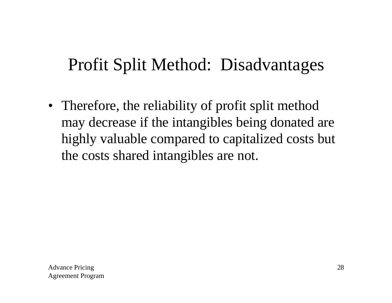#### Profit Split Method: Disadvantages

• Therefore, the reliability of profit split method may decrease if the intangibles being donated are highly valuable compared to capitalized costs but the costs shared intangibles are not.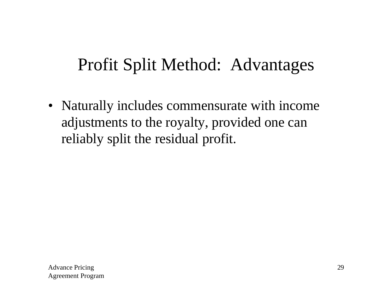#### Profit Split Method: Advantages

• Naturally includes commensurate with income adjustments to the royalty, provided one can reliably split the residual profit.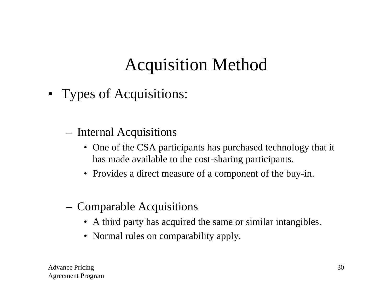# Acquisition Method

- Types of Acquisitions:
	- Internal Acquisitions
		- One of the CSA participants has purchased technology that it has made available to the cost-sharing participants.
		- Provides a direct measure of a component of the buy-in.
	- Comparable Acquisitions
		- A third party has acquired the same or similar intangibles.
		- Normal rules on comparability apply.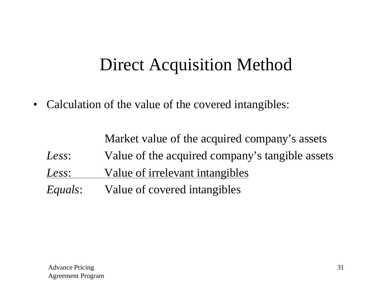#### Direct Acquisition Method

• Calculation of the value of the covered intangibles:

Market value of the acquired company's assets *Less*: Value of the acquired company's tangible assets *Less*: Value of irrelevant intangibles *Equals*: Value of covered intangibles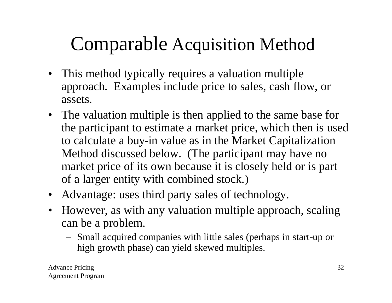# Comparable Acquisition Method

- This method typically requires a valuation multiple approach. Examples include price to sales, cash flow, or assets.
- The valuation multiple is then applied to the same base for the participant to estimate a market price, which then is used to calculate a buy-in value as in the Market Capitalization Method discussed below. (The participant may have no market price of its own because it is closely held or is part of a larger entity with combined stock.)
- Advantage: uses third party sales of technology.
- However, as with any valuation multiple approach, scaling can be a problem.
	- Small acquired companies with little sales (perhaps in start-up or high growth phase) can yield skewed multiples.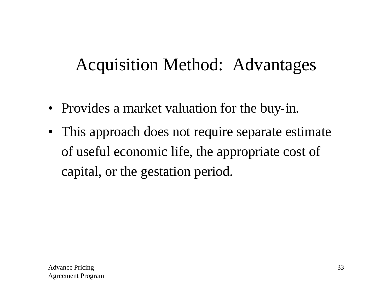#### Acquisition Method: Advantages

- Provides a market valuation for the buy-in.
- This approach does not require separate estimate of useful economic life, the appropriate cost of capital, or the gestation period.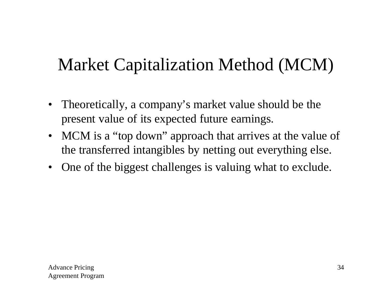- Theoretically, a company's market value should be the present value of its expected future earnings.
- MCM is a "top down" approach that arrives at the value of the transferred intangibles by netting out everything else.
- One of the biggest challenges is valuing what to exclude.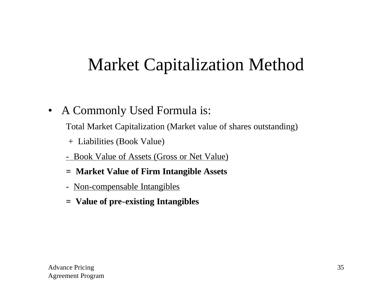• A Commonly Used Formula is:

Total Market Capitalization (Market value of shares outstanding)

- + Liabilities (Book Value)
- Book Value of Assets (Gross or Net Value)
- **= Market Value of Firm Intangible Assets**
- Non-compensable Intangibles
- **= Value of pre-existing Intangibles**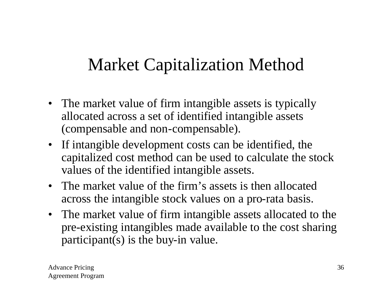- The market value of firm intangible assets is typically allocated across a set of identified intangible assets (compensable and non-compensable).
- If intangible development costs can be identified, the capitalized cost method can be used to calculate the stock values of the identified intangible assets.
- The market value of the firm's assets is then allocated across the intangible stock values on a pro-rata basis.
- The market value of firm intangible assets allocated to the pre-existing intangibles made available to the cost sharing participant(s) is the buy-in value.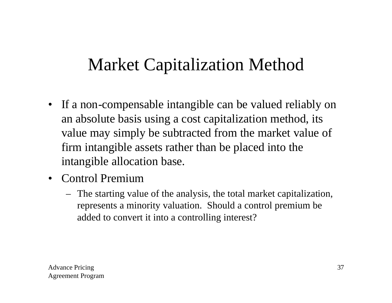- If a non-compensable intangible can be valued reliably on an absolute basis using a cost capitalization method, its value may simply be subtracted from the market value of firm intangible assets rather than be placed into the intangible allocation base.
- Control Premium
	- The starting value of the analysis, the total market capitalization, represents a minority valuation. Should a control premium be added to convert it into a controlling interest?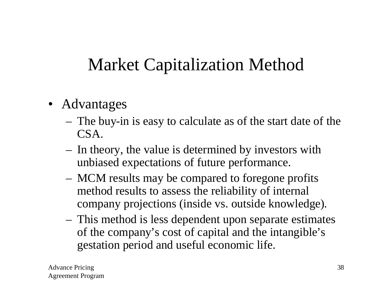- Advantages
	- The buy-in is easy to calculate as of the start date of the CSA.
	- In theory, the value is determined by investors with unbiased expectations of future performance.
	- MCM results may be compared to foregone profits method results to assess the reliability of internal company projections (inside vs. outside knowledge).
	- This method is less dependent upon separate estimates of the company's cost of capital and the intangible's gestation period and useful economic life.